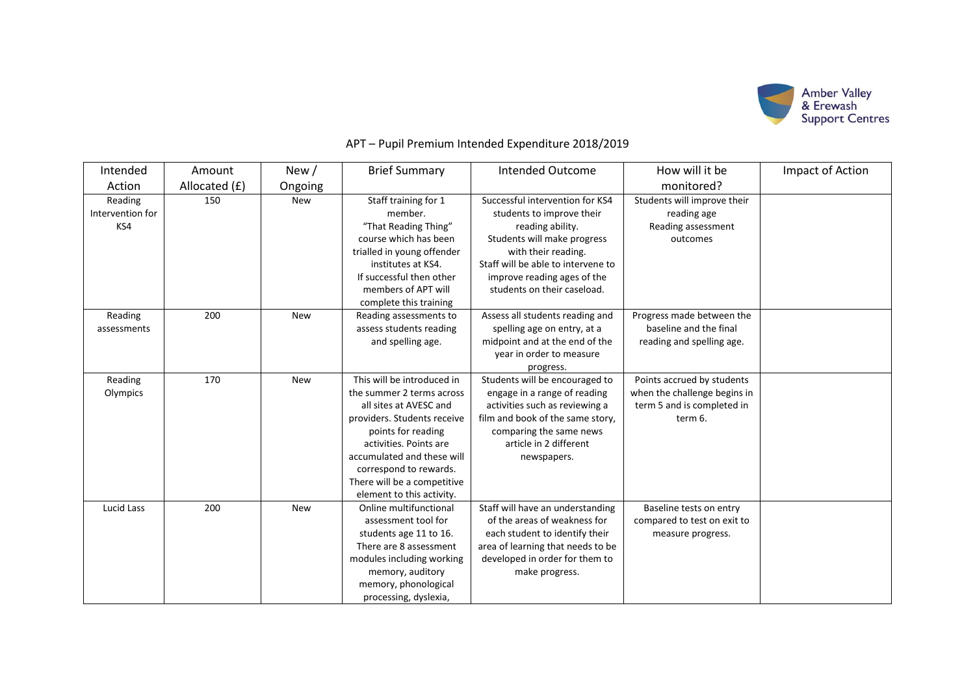

| Intended         | Amount        | New/       | <b>Brief Summary</b>        | <b>Intended Outcome</b>            | How will it be               | Impact of Action |
|------------------|---------------|------------|-----------------------------|------------------------------------|------------------------------|------------------|
| Action           | Allocated (£) | Ongoing    |                             |                                    | monitored?                   |                  |
| Reading          | 150           | <b>New</b> | Staff training for 1        | Successful intervention for KS4    | Students will improve their  |                  |
| Intervention for |               |            | member.                     | students to improve their          | reading age                  |                  |
| KS4              |               |            | "That Reading Thing"        | reading ability.                   | Reading assessment           |                  |
|                  |               |            | course which has been       | Students will make progress        | outcomes                     |                  |
|                  |               |            | trialled in young offender  | with their reading.                |                              |                  |
|                  |               |            | institutes at KS4.          | Staff will be able to intervene to |                              |                  |
|                  |               |            | If successful then other    | improve reading ages of the        |                              |                  |
|                  |               |            | members of APT will         | students on their caseload.        |                              |                  |
|                  |               |            | complete this training      |                                    |                              |                  |
| Reading          | 200           | New        | Reading assessments to      | Assess all students reading and    | Progress made between the    |                  |
| assessments      |               |            | assess students reading     | spelling age on entry, at a        | baseline and the final       |                  |
|                  |               |            | and spelling age.           | midpoint and at the end of the     | reading and spelling age.    |                  |
|                  |               |            |                             | year in order to measure           |                              |                  |
|                  |               |            |                             | progress.                          |                              |                  |
| Reading          | 170           | <b>New</b> | This will be introduced in  | Students will be encouraged to     | Points accrued by students   |                  |
| Olympics         |               |            | the summer 2 terms across   | engage in a range of reading       | when the challenge begins in |                  |
|                  |               |            | all sites at AVESC and      | activities such as reviewing a     | term 5 and is completed in   |                  |
|                  |               |            | providers. Students receive | film and book of the same story,   | term 6.                      |                  |
|                  |               |            | points for reading          | comparing the same news            |                              |                  |
|                  |               |            | activities. Points are      | article in 2 different             |                              |                  |
|                  |               |            | accumulated and these will  | newspapers.                        |                              |                  |
|                  |               |            | correspond to rewards.      |                                    |                              |                  |
|                  |               |            | There will be a competitive |                                    |                              |                  |
|                  |               |            | element to this activity.   |                                    |                              |                  |
| Lucid Lass       | 200           | <b>New</b> | Online multifunctional      | Staff will have an understanding   | Baseline tests on entry      |                  |
|                  |               |            | assessment tool for         | of the areas of weakness for       | compared to test on exit to  |                  |
|                  |               |            | students age 11 to 16.      | each student to identify their     | measure progress.            |                  |
|                  |               |            | There are 8 assessment      | area of learning that needs to be  |                              |                  |
|                  |               |            | modules including working   | developed in order for them to     |                              |                  |
|                  |               |            | memory, auditory            | make progress.                     |                              |                  |
|                  |               |            | memory, phonological        |                                    |                              |                  |
|                  |               |            | processing, dyslexia,       |                                    |                              |                  |

## APT – Pupil Premium Intended Expenditure 2018/2019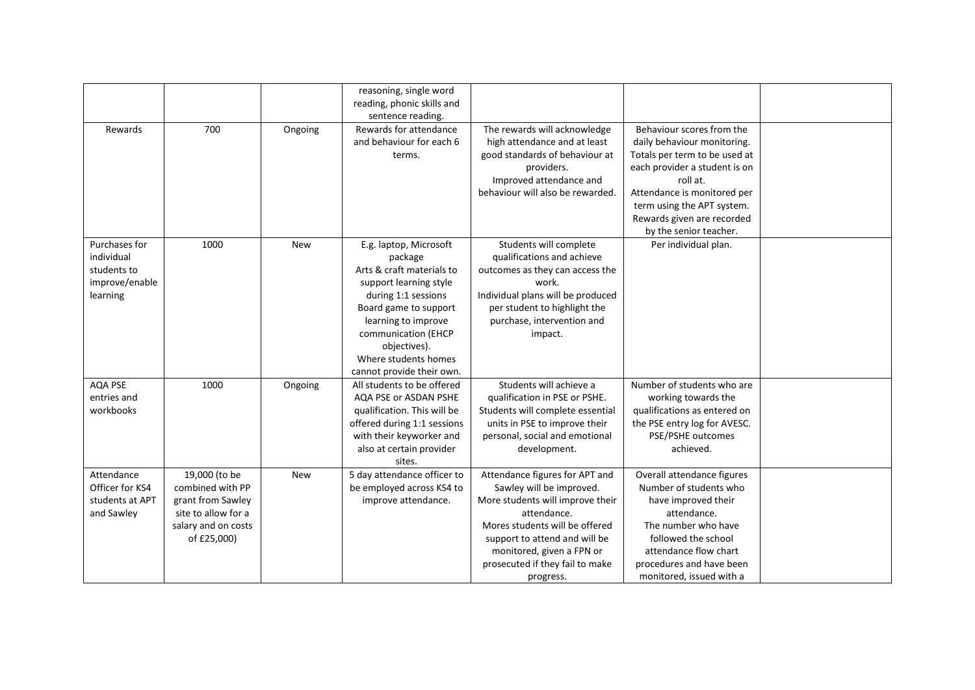|                                                                          |                                                                                                                     |            | reasoning, single word<br>reading, phonic skills and<br>sentence reading.                                                                                                                                                                                   |                                                                                                                                                                                                                                                               |                                                                                                                                                                                                                                                             |  |
|--------------------------------------------------------------------------|---------------------------------------------------------------------------------------------------------------------|------------|-------------------------------------------------------------------------------------------------------------------------------------------------------------------------------------------------------------------------------------------------------------|---------------------------------------------------------------------------------------------------------------------------------------------------------------------------------------------------------------------------------------------------------------|-------------------------------------------------------------------------------------------------------------------------------------------------------------------------------------------------------------------------------------------------------------|--|
| Rewards                                                                  | 700                                                                                                                 | Ongoing    | Rewards for attendance<br>and behaviour for each 6<br>terms.                                                                                                                                                                                                | The rewards will acknowledge<br>high attendance and at least<br>good standards of behaviour at<br>providers.<br>Improved attendance and<br>behaviour will also be rewarded.                                                                                   | Behaviour scores from the<br>daily behaviour monitoring.<br>Totals per term to be used at<br>each provider a student is on<br>roll at.<br>Attendance is monitored per<br>term using the APT system.<br>Rewards given are recorded<br>by the senior teacher. |  |
| Purchases for<br>individual<br>students to<br>improve/enable<br>learning | 1000                                                                                                                | <b>New</b> | E.g. laptop, Microsoft<br>package<br>Arts & craft materials to<br>support learning style<br>during 1:1 sessions<br>Board game to support<br>learning to improve<br>communication (EHCP<br>objectives).<br>Where students homes<br>cannot provide their own. | Students will complete<br>qualifications and achieve<br>outcomes as they can access the<br>work.<br>Individual plans will be produced<br>per student to highlight the<br>purchase, intervention and<br>impact.                                                | Per individual plan.                                                                                                                                                                                                                                        |  |
| AQA PSE<br>entries and<br>workbooks                                      | 1000                                                                                                                | Ongoing    | All students to be offered<br>AQA PSE or ASDAN PSHE<br>qualification. This will be<br>offered during 1:1 sessions<br>with their keyworker and<br>also at certain provider<br>sites.                                                                         | Students will achieve a<br>qualification in PSE or PSHE.<br>Students will complete essential<br>units in PSE to improve their<br>personal, social and emotional<br>development.                                                                               | Number of students who are<br>working towards the<br>qualifications as entered on<br>the PSE entry log for AVESC.<br>PSE/PSHE outcomes<br>achieved.                                                                                                         |  |
| Attendance<br>Officer for KS4<br>students at APT<br>and Sawley           | 19,000 (to be<br>combined with PP<br>grant from Sawley<br>site to allow for a<br>salary and on costs<br>of £25,000) | <b>New</b> | 5 day attendance officer to<br>be employed across KS4 to<br>improve attendance.                                                                                                                                                                             | Attendance figures for APT and<br>Sawley will be improved.<br>More students will improve their<br>attendance.<br>Mores students will be offered<br>support to attend and will be<br>monitored, given a FPN or<br>prosecuted if they fail to make<br>progress. | Overall attendance figures<br>Number of students who<br>have improved their<br>attendance.<br>The number who have<br>followed the school<br>attendance flow chart<br>procedures and have been<br>monitored, issued with a                                   |  |